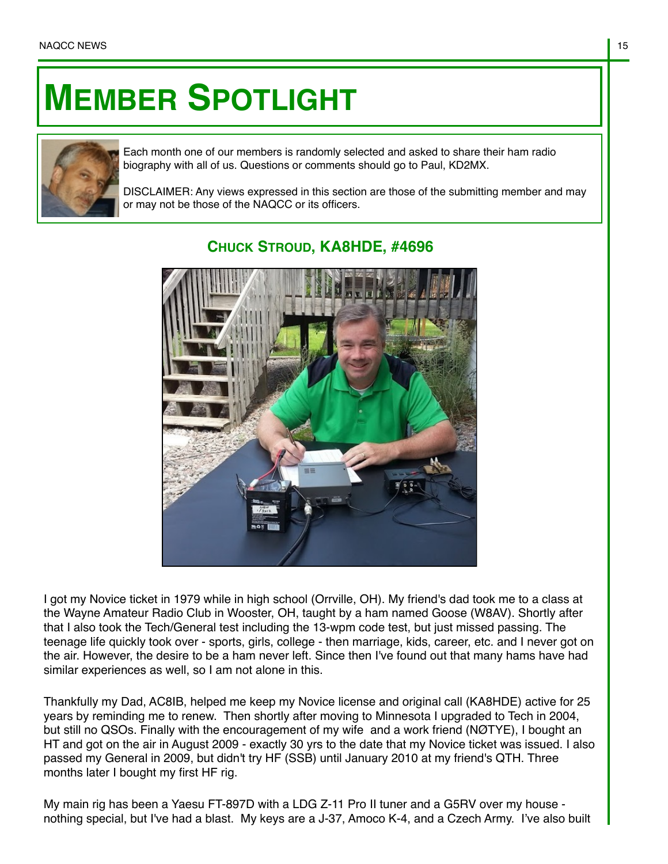## **MEMBER SPOTLIGHT**



Each month one of our members is randomly selected and asked to share their ham radio biography with all of us. Questions or comments should go to Paul, KD2MX.

DISCLAIMER: Any views expressed in this section are those of the submitting member and may or may not be those of the NAQCC or its officers.



## **CHUCK STROUD, KA8HDE, #4696**

I got my Novice ticket in 1979 while in high school (Orrville, OH). My friend's dad took me to a class at the Wayne Amateur Radio Club in Wooster, OH, taught by a ham named Goose (W8AV). Shortly after that I also took the Tech/General test including the 13-wpm code test, but just missed passing. The teenage life quickly took over - sports, girls, college - then marriage, kids, career, etc. and I never got on the air. However, the desire to be a ham never left. Since then I've found out that many hams have had similar experiences as well, so I am not alone in this.

Thankfully my Dad, AC8IB, helped me keep my Novice license and original call (KA8HDE) active for 25 years by reminding me to renew. Then shortly after moving to Minnesota I upgraded to Tech in 2004, but still no QSOs. Finally with the encouragement of my wife and a work friend (NØTYE), I bought an HT and got on the air in August 2009 - exactly 30 yrs to the date that my Novice ticket was issued. I also passed my General in 2009, but didn't try HF (SSB) until January 2010 at my friend's QTH. Three months later I bought my first HF rig.

My main rig has been a Yaesu FT-897D with a LDG Z-11 Pro II tuner and a G5RV over my house nothing special, but I've had a blast. My keys are a J-37, Amoco K-4, and a Czech Army. I've also built